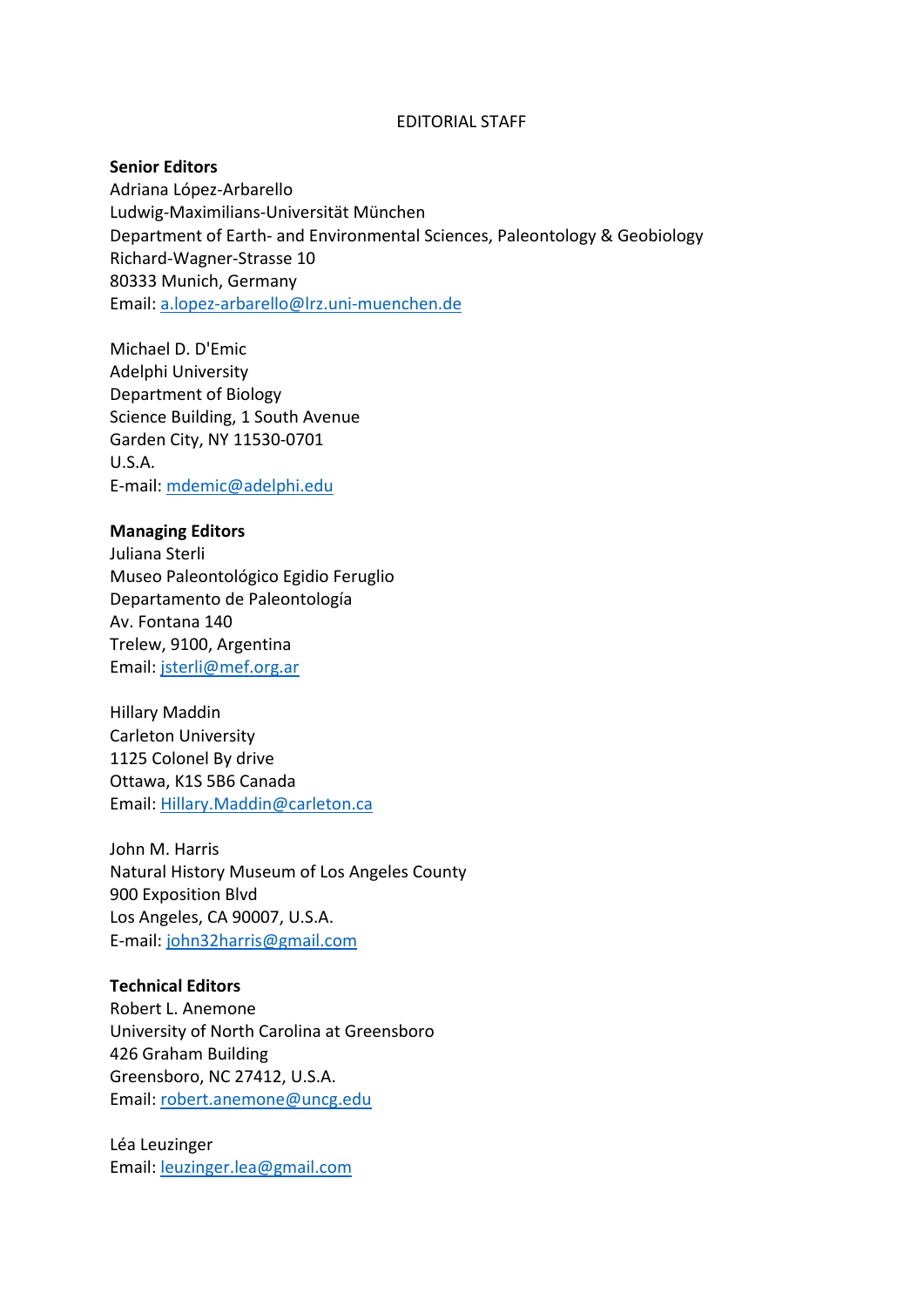## EDITORIAL STAFF

## **Senior Editors**

Adriana López-Arbarello Ludwig-Maximilians-Universität München Department of Earth- and Environmental Sciences, Paleontology & Geobiology Richard-Wagner-Strasse 10 80333 Munich, Germany Email: [a.lopez-arbarello@lrz.uni-muenchen.de](mailto:a.lopez-arbarello@lrz.uni-muenchen.de) 

Michael D. D'Emic Adelphi University Department of Biology Science Building, 1 South Avenue Garden City, NY 11530-0701 U.S.A. E-mail: [mdemic@adelphi.edu](mailto:mdemic@adelphi.edu)

#### **Managing Editors**

Juliana Sterli Museo Paleontológico Egidio Feruglio Departamento de Paleontología Av. Fontana 140 Trelew, 9100, Argentina Email: [jsterli@mef.org.ar](mailto:jsterli@mef.org.ar) 

Hillary Maddin Carleton University 1125 Colonel By drive Ottawa, K1S 5B6 Canada Email: [Hillary.Maddin@carleton.ca](mailto:Hillary.Maddin@carleton.ca)

John M. Harris Natural History Museum of Los Angeles County 900 Exposition Blvd Los Angeles, CA 90007, U.S.A. E-mail: [john32harris@gmail.com](mailto:john32harris@gmail.com) 

## **Technical Editors**

Robert L. Anemone University of North Carolina at Greensboro 426 Graham Building Greensboro, NC 27412, U.S.A. Email: [robert.anemone@uncg.edu](mailto:robert.anemone@uncg.edu) 

Léa Leuzinger Email: [leuzinger.lea@gmail.com](mailto:leuzinger.lea@gmail.com)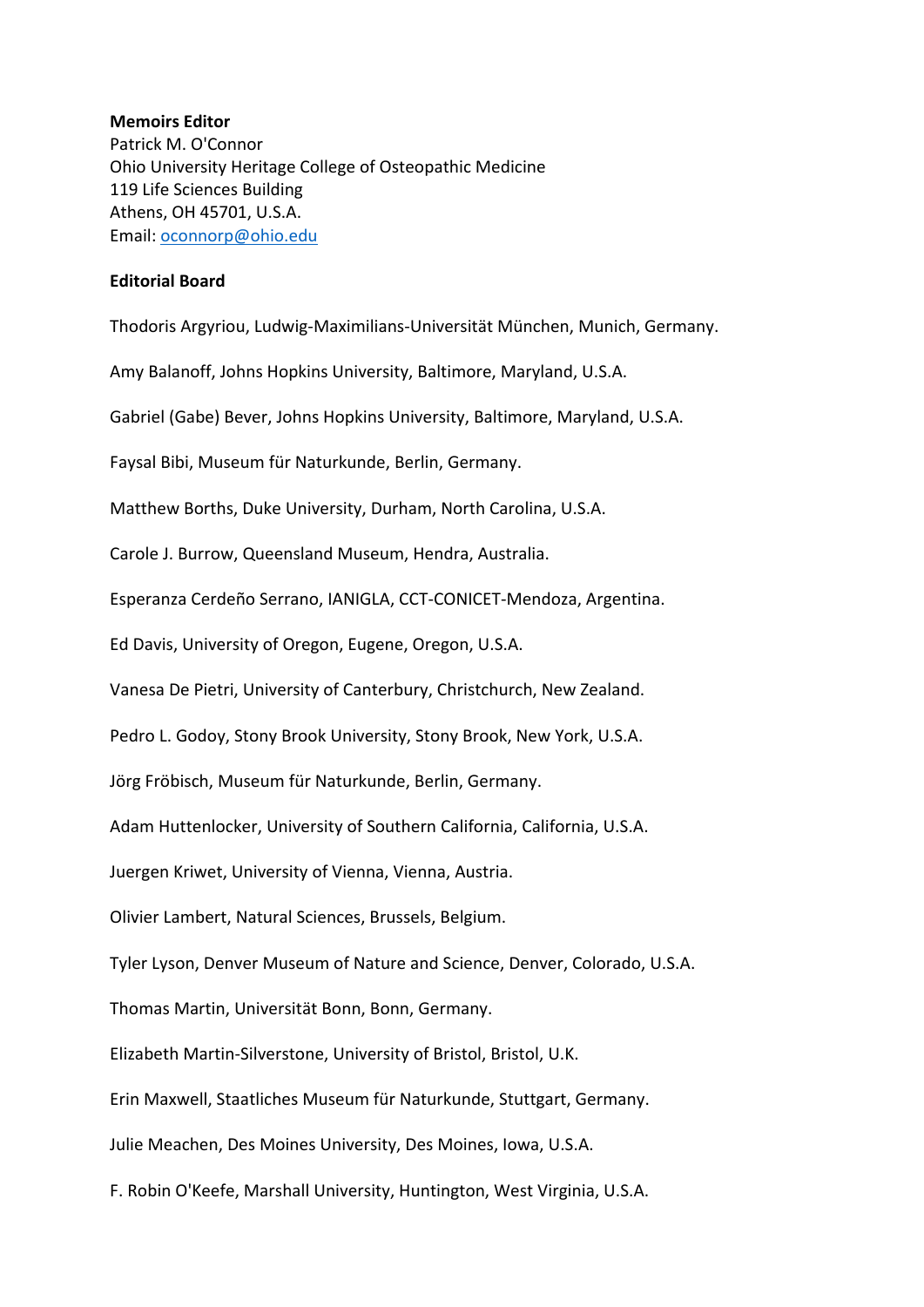## **Memoirs Editor**

Patrick M. O'Connor Ohio University Heritage College of Osteopathic Medicine 119 Life Sciences Building Athens, OH 45701, U.S.A. Email: [oconnorp@ohio.edu](mailto:oconnorp@ohio.edu)

# **Editorial Board**

Thodoris Argyriou, Ludwig-Maximilians-Universität München, Munich, Germany.

Amy Balanoff, Johns Hopkins University, Baltimore, Maryland, U.S.A.

Gabriel (Gabe) Bever, Johns Hopkins University, Baltimore, Maryland, U.S.A.

Faysal Bibi, Museum für Naturkunde, Berlin, Germany.

Matthew Borths, Duke University, Durham, North Carolina, U.S.A.

Carole J. Burrow, Queensland Museum, Hendra, Australia.

Esperanza Cerdeño Serrano, IANIGLA, CCT-CONICET-Mendoza, Argentina.

Ed Davis, University of Oregon, Eugene, Oregon, U.S.A.

Vanesa De Pietri, University of Canterbury, Christchurch, New Zealand.

Pedro L. Godoy, Stony Brook University, Stony Brook, New York, U.S.A.

Jörg Fröbisch, Museum für Naturkunde, Berlin, Germany.

Adam Huttenlocker, University of Southern California, California, U.S.A.

Juergen Kriwet, University of Vienna, Vienna, Austria.

Olivier Lambert, Natural Sciences, Brussels, Belgium.

Tyler Lyson, Denver Museum of Nature and Science, Denver, Colorado, U.S.A.

Thomas Martin, Universität Bonn, Bonn, Germany.

Elizabeth Martin-Silverstone, University of Bristol, Bristol, U.K.

Erin Maxwell, Staatliches Museum für Naturkunde, Stuttgart, Germany.

Julie Meachen, Des Moines University, Des Moines, Iowa, U.S.A.

F. Robin O'Keefe, Marshall University, Huntington, West Virginia, U.S.A.